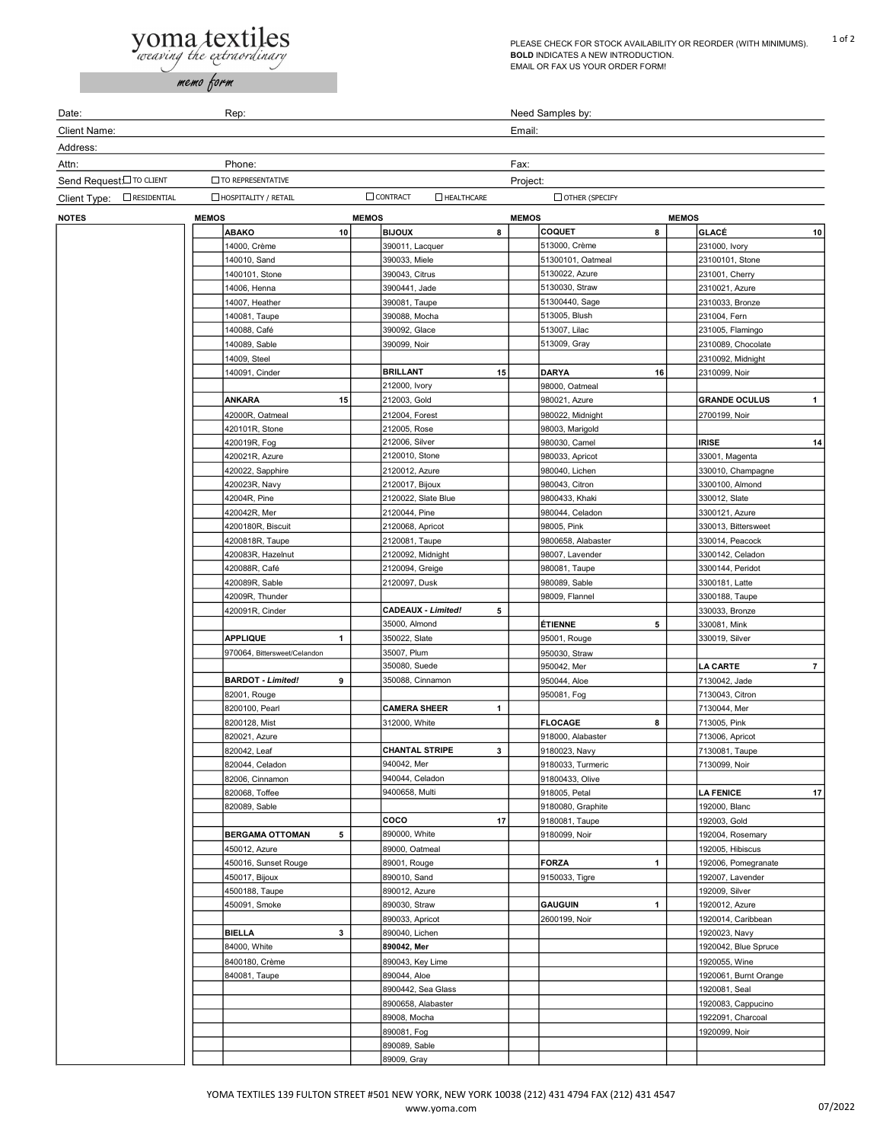## **yoma textiles**

memo form

PLEASE CHECK FOR STOCK AVAILABILITY OR REORDER (WITH MINIMUMS). 1 of 2 BOLD INDICATES A NEW INTRODUCTION. EMAIL OR FAX US YOUR ORDER FORM!

Date: The Rep: Rep: Rep: Rep: Rep: Rep: Rep: Red Samples by: Client Name: Email: Address: Attn: Phone: Fax: Send Request: To CLIENT TO REPRESENTATIVE TO REPRESENTATIVE Client Type: NOTES MEMOS MEMOS MEMOS MEMOS ABAKO 10 BIJOUX 8 COQUET 8 GLACÉ 10 14000, Crème 231000, Ivory 1 390011, Lacquer 1 513000, Crème 231000, Ivory 1 231000, Ivory 1 231000, Ivory 1 23 140010, Sand 1, 23100101, Stone 1, 390033, Miele 1, 1300101, Oatmeal 1, 23100101, Stone 1, 23100101, Stone 1, 1400101, Stone 1 390043, Citrus 1 5130022, Azure 1 231001, Cherry 1 14006, Henna 1 2310021, Azure 1 3900441, Jade 1 5130030, Straw 1 2310021, Azure 1 2310021, Azure 1 2310021, A 14007, Heather 1 390081, Taupe 1 51300440, Sage 1 2310033, Bronze 1 140081, Taupe 1 390088, Mocha 1 513005, Blush 1 231004, Fern 1 140088, Café 1 390092, Glace 1 513007, Lilac 1 231005, Flamingo 1 140089, Sable 1 390099, Noir 1 513009, Gray 1 2310089, Chocolate 1 14009, Steel 1 2310092, Midnight 1 140091, Cinder **1 BRILLANT 15 DARYA 16** 2310099, Noir 212000, Ivory 1 98000, Oatmeal ANKARA 15 212003, Gold 980021, Azure GRANDE OCULUS 42000R, Oatmeal 2700199, Noir 212004, Forest 1 980022, Midnight 1 2700199, Noir 420101R, Stone 212005, Rose 1 2006, Rose 1 98003, Marigold 420019R, Fog 1 212006, Silver 1 980030, Camel 1 IRISE 14 420021R, Azure 1 2120010, Stone 1 980033, Apricot 1 33001, Magenta 420022. Sapphire 1 2120012, Azure 1 980040, Lichen 1 330010, Champagne 420023R, Navy 1 2120017, Bijoux 1 980043, Citron 1 3300100, Almond 1 42004R, Pine 2120022, Slate Blue 9800433, Khaki 330012, Slate 1 330012, Slate 1 3400 1 330012, Slate 420042R, Mer 1 2120044, Pine 1 2120044, Pine 1 980044, Celadon 1 3300121, Azure 4200180R, Biscuit 1 2120068, Apricot 1 98005, Pink 1 330013, Bittersweet 1 98001 TO REPRESENTATIVE  $\Box$ residential  $\Box$  Hospitality / Retail  $\Box$  Contract  $\Box$  Healthcare  $\Box$  Other (specify 4200818R, Taupe 1 2120081, Taupe 1 9800658, Alabaster 1 330014, Peacock 1 330014, Peacock 1 330014, Peacock 1  $\frac{1}{2}$ 420083R, Hazelnut 1 2120092, Midnight 1 98007, Lavender 1 3300142, Celadon 1 420088R, Café 1 2120094, Greige 1 980081, Taupe 1 3300144, Peridot 1 420089R, Sable 1 2120097, Dusk 1 980089, Sable 1 3300181, Latte 1 42009R, Thunder 2009, Flannel 23300188, Taupe 1 3300188, Taupe 1 3300188, Taupe 1 3300188, Taupe 1 4 3300188, Taupe 1 3300188, Taupe 1  $\frac{1}{2}$ 420091R, Cinder **1 CADEAUX - Limited!** 5 330033, Bronze 35000, Almond **1 ETIENNE** 5 330081, Mink **APPLIQUE 1 350022, Slate 1 350022, Slate** 1 35001, Rouge 1 330019, Silver 1 330019, Silver 1 330019, Silver 1 330019, Silver 1 330019, Silver 1 330019, Silver 1 350019, Silver 1 350019, Silver 1 350019, Silver 1 350019, S 970064, Bittersweet/Celandon | 35007, Plum 1 950030, Stra 350080, Suede 1 950042, Mer 1 LA CARTE 7 **BARDOT - Limited!** 9 350088, Cinnamon 1 950044, Aloe 1 7130042, Jade 82001, Rouge 1 950081, Fog 1 7130043, Citron 1 8200100, Pearl 1 CAMERA SHEER 1 7130044, Mer 1 8200128, Mist 1 1312000, White 1 FLOCAGE 8 713005, Pink 19900128, Mist 820021, Azure 1 918000, Alabaster 1 713006, Apricot 1 820042, Leaf **1 CHANTAL STRIPE 3** 9180023, Navy 1 7130081, Taupe 820044, Celadon 1 940042, Mer 1 9180033, Turmeric 1 7130099, Noir 82006, Cinnamon 1 940044, Celadon 1 940044, Celadon 1 94800433, Olive 820068, Toffee 1 9400658, Multi 1 918005, Petal 1 LA FENICE 17 820089, Sable 1 9180080, Graphite 1 192000, Blanc 1 **COCO** 17 9180081, Taupe 192003, Gold 192003, Gold BERGAMA OTTOMAN 5 890000, White 1 9180099, Noir 192004, Rosemary 450012, Azure 192005, Hibiscus 192005, Oatmeal 192005, Hibiscus 192005, Hibiscus 192005, Hibiscus 192005, Hibiscus 192005, Hibiscus 192005, Hibiscus 192005, Hibiscus 192005, Hibiscus 192005, Hibiscus 192005, Hibiscus 19200 450016, Sunset Rouge 1 89001, Rouge 1 FORZA 1 192006, Pomegranate 450017, Bijoux |890010, Sand | |9150033, Tigre | 192007, Lavender 4500188, Taupe |890012, Azure | |192009, Silver 450091, Smoke 1 890030, Straw 1 GAUGUIN 1 1920012, Azure 1 890033, Apricot 1 2600199, Noir 1920014, Caribbean 1920014, Caribbean BIELLA 3 890040, Lichen 1 1920023, Navy 1 84000, White 1920042, Blue Spruce 1980042, Mer 1920042, Blue Spruce 1920042, Blue Spruce 1980042, Hornel 1920042, Blue Spruce 1980042, Hornel 1920042, Blue Spruce 1980042, Mer 1980042, Hornel 1980042, Hornel 1980042, Horne 8400180, Crème 1990043, Key Lime 1990043, Key Lime 1990043, New 19920055, Wine 19920055, Wine 19920055, Wine 1 840081, Taupe 1 890044, Aloe 1 1920061, Burnt Orange 1 8900442, Sea Glass 1 1920081, Seal 1920081, Seal 1920081, Seal 1920081, Seal 1920081, Seal 1920081, Seal 19200 8900658, Alabaster 1 1920083, Cappucino 1920083, Cappucino 1920083, Cappucino 1920083, Cappucino 1930 89008, Mocha 1 1922091, Charcoal 1 890081, Fog 1920099, Noir 890089, Sable 1 89009, Gray 1